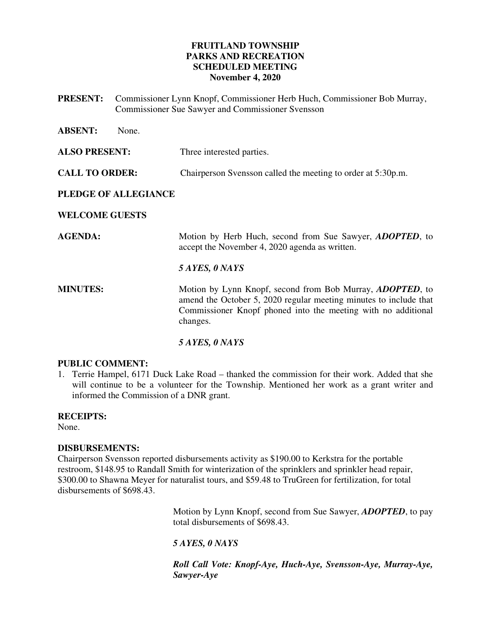# **FRUITLAND TOWNSHIP PARKS AND RECREATION SCHEDULED MEETING November 4, 2020**

**PRESENT:** Commissioner Lynn Knopf, Commissioner Herb Huch, Commissioner Bob Murray, Commissioner Sue Sawyer and Commissioner Svensson

| <b>ABSENT:</b>        | None. |                                                                                                                                                                                                                     |
|-----------------------|-------|---------------------------------------------------------------------------------------------------------------------------------------------------------------------------------------------------------------------|
| <b>ALSO PRESENT:</b>  |       | Three interested parties.                                                                                                                                                                                           |
| <b>CALL TO ORDER:</b> |       | Chairperson Svensson called the meeting to order at 5:30p.m.                                                                                                                                                        |
| PLEDGE OF ALLEGIANCE  |       |                                                                                                                                                                                                                     |
| <b>WELCOME GUESTS</b> |       |                                                                                                                                                                                                                     |
| <b>AGENDA:</b>        |       | Motion by Herb Huch, second from Sue Sawyer, <i>ADOPTED</i> , to<br>accept the November 4, 2020 agenda as written.                                                                                                  |
|                       |       | 5 AYES, 0 NAYS                                                                                                                                                                                                      |
| <b>MINUTES:</b>       |       | Motion by Lynn Knopf, second from Bob Murray, <i>ADOPTED</i> , to<br>amend the October 5, 2020 regular meeting minutes to include that<br>Commissioner Knopf phoned into the meeting with no additional<br>changes. |
|                       |       | 5 AYES, 0 NAYS                                                                                                                                                                                                      |

## **PUBLIC COMMENT:**

1. Terrie Hampel, 6171 Duck Lake Road – thanked the commission for their work. Added that she will continue to be a volunteer for the Township. Mentioned her work as a grant writer and informed the Commission of a DNR grant.

# **RECEIPTS:**

None.

## **DISBURSEMENTS:**

Chairperson Svensson reported disbursements activity as \$190.00 to Kerkstra for the portable restroom, \$148.95 to Randall Smith for winterization of the sprinklers and sprinkler head repair, \$300.00 to Shawna Meyer for naturalist tours, and \$59.48 to TruGreen for fertilization, for total disbursements of \$698.43.

> Motion by Lynn Knopf, second from Sue Sawyer, *ADOPTED*, to pay total disbursements of \$698.43.

# *5 AYES, 0 NAYS*

*Roll Call Vote: Knopf-Aye, Huch-Aye, Svensson-Aye, Murray-Aye, Sawyer-Aye*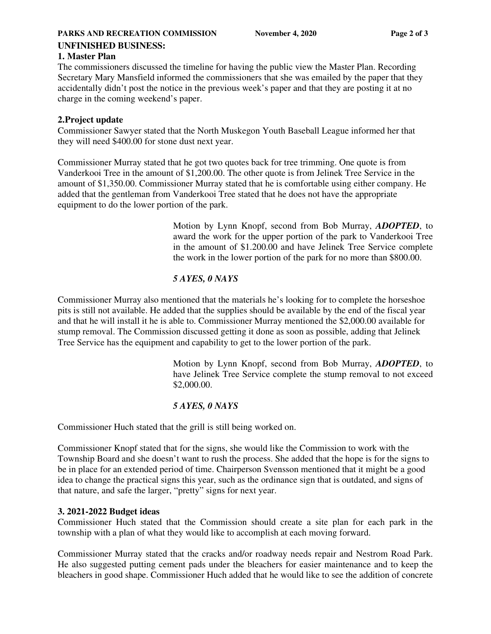## **PARKS AND RECREATION COMMISSION** November 4, 2020 Page 2 of 3 **UNFINISHED BUSINESS:**

# **1. Master Plan**

The commissioners discussed the timeline for having the public view the Master Plan. Recording Secretary Mary Mansfield informed the commissioners that she was emailed by the paper that they accidentally didn't post the notice in the previous week's paper and that they are posting it at no charge in the coming weekend's paper.

# **2.Project update**

Commissioner Sawyer stated that the North Muskegon Youth Baseball League informed her that they will need \$400.00 for stone dust next year.

Commissioner Murray stated that he got two quotes back for tree trimming. One quote is from Vanderkooi Tree in the amount of \$1,200.00. The other quote is from Jelinek Tree Service in the amount of \$1,350.00. Commissioner Murray stated that he is comfortable using either company. He added that the gentleman from Vanderkooi Tree stated that he does not have the appropriate equipment to do the lower portion of the park.

> Motion by Lynn Knopf, second from Bob Murray, *ADOPTED*, to award the work for the upper portion of the park to Vanderkooi Tree in the amount of \$1.200.00 and have Jelinek Tree Service complete the work in the lower portion of the park for no more than \$800.00.

# *5 AYES, 0 NAYS*

Commissioner Murray also mentioned that the materials he's looking for to complete the horseshoe pits is still not available. He added that the supplies should be available by the end of the fiscal year and that he will install it he is able to. Commissioner Murray mentioned the \$2,000.00 available for stump removal. The Commission discussed getting it done as soon as possible, adding that Jelinek Tree Service has the equipment and capability to get to the lower portion of the park.

> Motion by Lynn Knopf, second from Bob Murray, *ADOPTED*, to have Jelinek Tree Service complete the stump removal to not exceed \$2,000.00.

# *5 AYES, 0 NAYS*

Commissioner Huch stated that the grill is still being worked on.

Commissioner Knopf stated that for the signs, she would like the Commission to work with the Township Board and she doesn't want to rush the process. She added that the hope is for the signs to be in place for an extended period of time. Chairperson Svensson mentioned that it might be a good idea to change the practical signs this year, such as the ordinance sign that is outdated, and signs of that nature, and safe the larger, "pretty" signs for next year.

# **3. 2021-2022 Budget ideas**

Commissioner Huch stated that the Commission should create a site plan for each park in the township with a plan of what they would like to accomplish at each moving forward.

Commissioner Murray stated that the cracks and/or roadway needs repair and Nestrom Road Park. He also suggested putting cement pads under the bleachers for easier maintenance and to keep the bleachers in good shape. Commissioner Huch added that he would like to see the addition of concrete